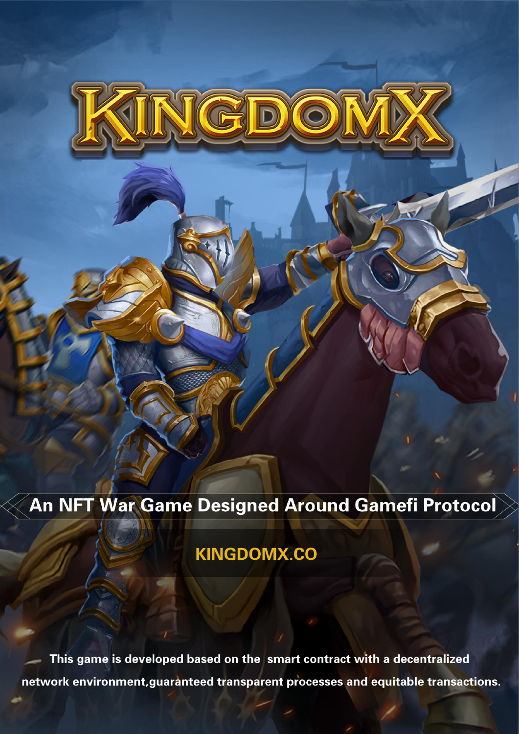# An NFT War Game Designed Around Gamefi Protocol

# **KINGDOMX.CO**

This game is developed based on the smart contract with a decentralized network environment, guaranteed transparent processes and equitable transactions.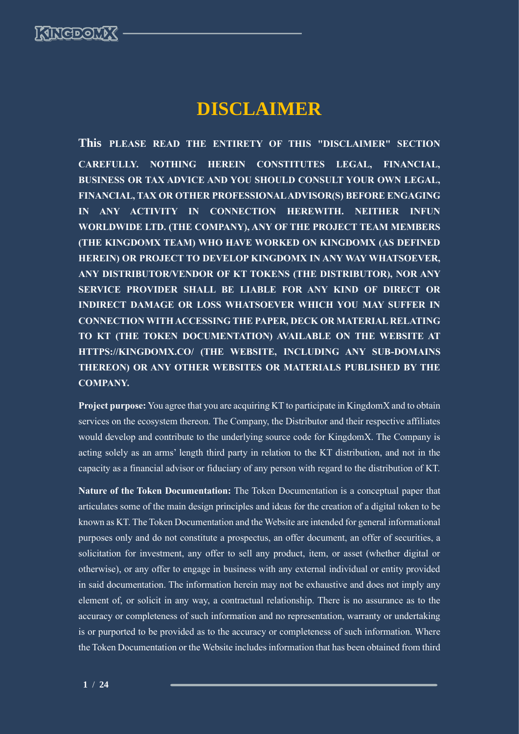# **DISCLAIMER**

**This PLEASE READ THE ENTIRETY OF THIS "DISCLAIMER" SECTION CAREFULLY. NOTHING HEREIN CONSTITUTES LEGAL, FINANCIAL, BUSINESS OR TAX ADVICE AND YOU SHOULD CONSULT YOUR OWN LEGAL, FINANCIAL, TAX OR OTHER PROFESSIONAL ADVISOR(S) BEFORE ENGAGING IN ANY ACTIVITY IN CONNECTION HEREWITH. NEITHER INFUN WORLDWIDE LTD. (THE COMPANY), ANY OF THE PROJECT TEAM MEMBERS (THE KINGDOMX TEAM) WHO HAVE WORKED ON KINGDOMX (AS DEFINED HEREIN) OR PROJECT TO DEVELOP KINGDOMX IN ANY WAY WHATSOEVER, ANY DISTRIBUTOR/VENDOR OF KT TOKENS (THE DISTRIBUTOR), NOR ANY SERVICE PROVIDER SHALL BE LIABLE FOR ANY KIND OF DIRECT OR INDIRECT DAMAGE OR LOSS WHATSOEVER WHICH YOU MAY SUFFER IN CONNECTION WITH ACCESSING THE PAPER, DECK OR MATERIAL RELATING TO KT (THE TOKEN DOCUMENTATION) AVAILABLE ON THE WEBSITE AT HTTPS://KINGDOMX.CO/ (THE WEBSITE, INCLUDING ANY SUB-DOMAINS THEREON) OR ANY OTHER WEBSITES OR MATERIALS PUBLISHED BY THE COMPANY.**

**Project purpose:** You agree that you are acquiring KT to participate in KingdomX and to obtain services on the ecosystem thereon. The Company, the Distributor and their respective affiliates would develop and contribute to the underlying source code for KingdomX. The Company is acting solely as an arms' length third party in relation to the KT distribution, and not in the capacity as a financial advisor or fiduciary of any person with regard to the distribution of KT.

**Nature of the Token Documentation:** The Token Documentation is a conceptual paper that articulates some of the main design principles and ideas for the creation of a digital token to be known as KT. The Token Documentation and the Website are intended for general informational purposes only and do not constitute a prospectus, an offer document, an offer of securities, a solicitation for investment, any offer to sell any product, item, or asset (whether digital or otherwise), or any offer to engage in business with any external individual or entity provided in said documentation. The information herein may not be exhaustive and does not imply any element of, or solicit in any way, a contractual relationship. There is no assurance as to the accuracy or completeness of such information and no representation, warranty or undertaking is or purported to be provided as to the accuracy or completeness of such information. Where the Token Documentation or the Website includes information that has been obtained from third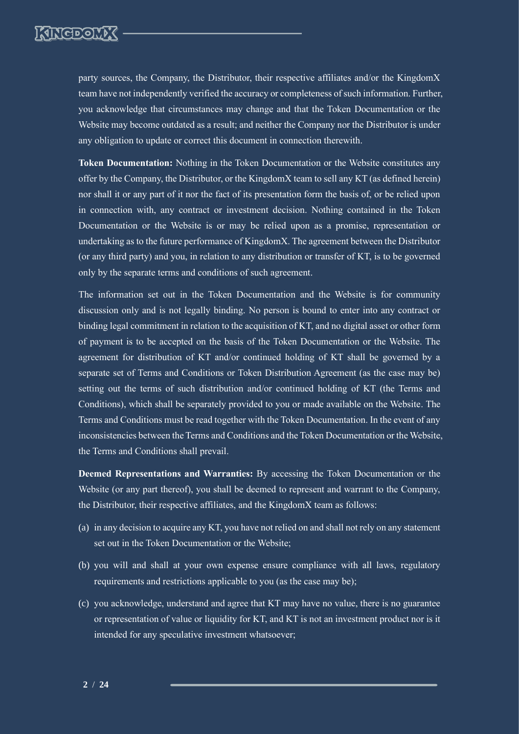

party sources, the Company, the Distributor, their respective affiliates and/or the KingdomX team have not independently verified the accuracy or completeness of such information. Further, you acknowledge that circumstances may change and that the Token Documentation or the Website may become outdated as a result; and neither the Company nor the Distributor is under any obligation to update or correct this document in connection therewith.

**Token Documentation:** Nothing in the Token Documentation or the Website constitutes any offer by the Company, the Distributor, or the KingdomX team to sell any KT (as defined herein) nor shall it or any part of it nor the fact of its presentation form the basis of, or be relied upon in connection with, any contract or investment decision. Nothing contained in the Token Documentation or the Website is or may be relied upon as a promise, representation or undertaking as to the future performance of KingdomX. The agreement between the Distributor (or any third party) and you, in relation to any distribution or transfer of KT, is to be governed only by the separate terms and conditions of such agreement.

The information set out in the Token Documentation and the Website is for community discussion only and is not legally binding. No person is bound to enter into any contract or binding legal commitment in relation to the acquisition of KT, and no digital asset or other form of payment is to be accepted on the basis of the Token Documentation or the Website. The agreement for distribution of KT and/or continued holding of KT shall be governed by a separate set of Terms and Conditions or Token Distribution Agreement (as the case may be) setting out the terms of such distribution and/or continued holding of KT (the Terms and Conditions), which shall be separately provided to you or made available on the Website. The Terms and Conditions must be read together with the Token Documentation. In the event of any inconsistencies between the Terms and Conditions and the Token Documentation or the Website, the Terms and Conditions shall prevail.

**Deemed Representations and Warranties:** By accessing the Token Documentation or the Website (or any part thereof), you shall be deemed to represent and warrant to the Company, the Distributor, their respective affiliates, and the KingdomX team as follows:

- (a) in any decision to acquire any KT, you have not relied on and shall not rely on any statement set out in the Token Documentation or the Website;
- (b) you will and shall at your own expense ensure compliance with all laws, regulatory requirements and restrictions applicable to you (as the case may be);
- (c) you acknowledge, understand and agree that KT may have no value, there is no guarantee or representation of value or liquidity for KT, and KT is not an investment product nor is it intended for any speculative investment whatsoever;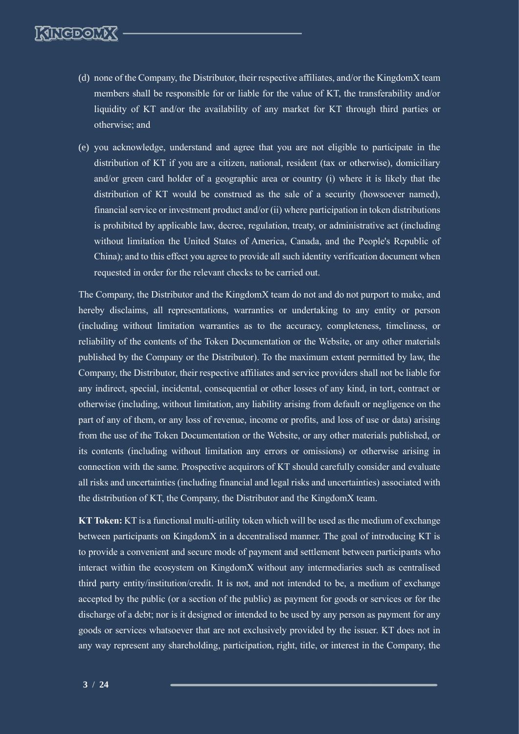- (d) none of the Company, the Distributor, their respective affiliates, and/or the KingdomX team members shall be responsible for or liable for the value of KT, the transferability and/or liquidity of KT and/or the availability of any market for KT through third parties or otherwise; and
- (e) you acknowledge, understand and agree that you are not eligible to participate in the distribution of KT if you are a citizen, national, resident (tax or otherwise), domiciliary and/or green card holder of a geographic area or country (i) where it is likely that the distribution of KT would be construed as the sale of a security (howsoever named), financial service or investment product and/or (ii) where participation in token distributions is prohibited by applicable law, decree, regulation, treaty, or administrative act (including without limitation the United States of America, Canada, and the People's Republic of China); and to this effect you agree to provide all such identity verification document when requested in order for the relevant checks to be carried out.

The Company, the Distributor and the KingdomX team do not and do not purport to make, and hereby disclaims, all representations, warranties or undertaking to any entity or person (including without limitation warranties as to the accuracy, completeness, timeliness, or reliability of the contents of the Token Documentation or the Website, or any other materials published by the Company or the Distributor). To the maximum extent permitted by law, the Company, the Distributor, their respective affiliates and service providers shall not be liable for any indirect, special, incidental, consequential or other losses of any kind, in tort, contract or otherwise (including, without limitation, any liability arising from default or negligence on the part of any of them, or any loss of revenue, income or profits, and loss of use or data) arising from the use of the Token Documentation or the Website, or any other materials published, or its contents (including without limitation any errors or omissions) or otherwise arising in connection with the same. Prospective acquirors of KT should carefully consider and evaluate all risks and uncertainties (including financial and legal risks and uncertainties) associated with the distribution of KT, the Company, the Distributor and the KingdomX team.

**KT Token:** KT is a functional multi-utility token which will be used as the medium of exchange between participants on KingdomX in a decentralised manner. The goal of introducing KT is to provide a convenient and secure mode of payment and settlement between participants who interact within the ecosystem on KingdomX without any intermediaries such as centralised third party entity/institution/credit. It is not, and not intended to be, a medium of exchange accepted by the public (or a section of the public) as payment for goods or services or for the discharge of a debt; nor is it designed or intended to be used by any person as payment for any goods or services whatsoever that are not exclusively provided by the issuer. KT does not in any way represent any shareholding, participation, right, title, or interest in the Company, the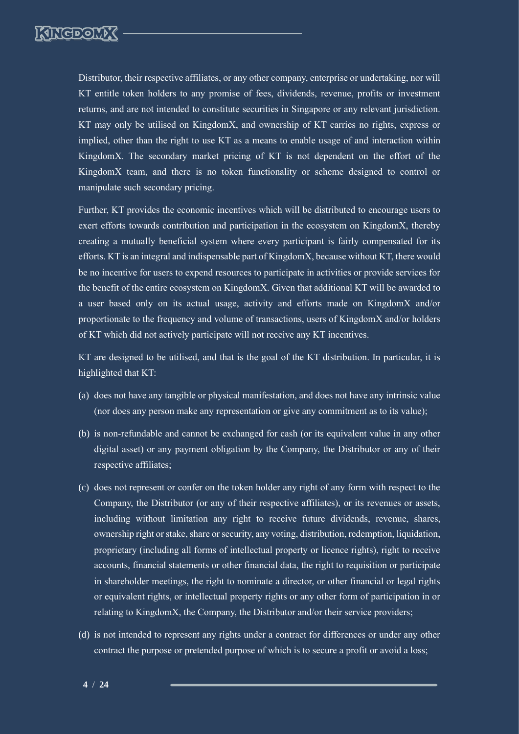

Distributor, their respective affiliates, or any other company, enterprise or undertaking, nor will KT entitle token holders to any promise of fees, dividends, revenue, profits or investment returns, and are not intended to constitute securities in Singapore or any relevant jurisdiction. KT may only be utilised on KingdomX, and ownership of KT carries no rights, express or implied, other than the right to use KT as a means to enable usage of and interaction within KingdomX. The secondary market pricing of KT is not dependent on the effort of the KingdomX team, and there is no token functionality or scheme designed to control or manipulate such secondary pricing.

Further, KT provides the economic incentives which will be distributed to encourage users to exert efforts towards contribution and participation in the ecosystem on KingdomX, thereby creating a mutually beneficial system where every participant is fairly compensated for its efforts. KT is an integral and indispensable part of KingdomX, because without KT, there would be no incentive for users to expend resources to participate in activities or provide services for the benefit of the entire ecosystem on KingdomX. Given that additional KT will be awarded to a user based only on its actual usage, activity and efforts made on KingdomX and/or proportionate to the frequency and volume of transactions, users of KingdomX and/or holders of KT which did not actively participate will not receive any KT incentives.

KT are designed to be utilised, and that is the goal of the KT distribution. In particular, it is highlighted that KT:

- (a) does not have any tangible or physical manifestation, and does not have any intrinsic value (nor does any person make any representation or give any commitment as to its value);
- (b) is non-refundable and cannot be exchanged for cash (or its equivalent value in any other digital asset) or any payment obligation by the Company, the Distributor or any of their respective affiliates;
- (c) does not represent or confer on the token holder any right of any form with respect to the Company, the Distributor (or any of their respective affiliates), or its revenues or assets, including without limitation any right to receive future dividends, revenue, shares, ownership right or stake, share or security, any voting, distribution, redemption, liquidation, proprietary (including all forms of intellectual property or licence rights), right to receive accounts, financial statements or other financial data, the right to requisition or participate in shareholder meetings, the right to nominate a director, or other financial or legal rights or equivalent rights, or intellectual property rights or any other form of participation in or relating to KingdomX, the Company, the Distributor and/or their service providers;
- (d) is not intended to represent any rights under a contract for differences or under any other contract the purpose or pretended purpose of which is to secure a profit or avoid a loss;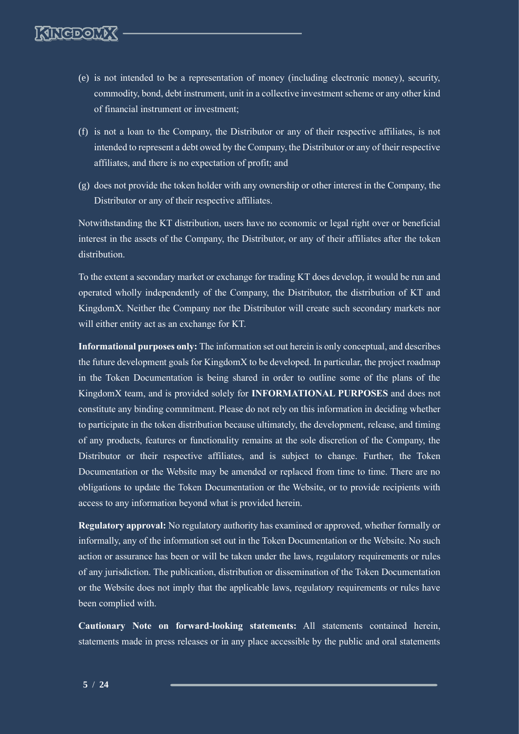- (e) is not intended to be a representation of money (including electronic money), security, commodity, bond, debt instrument, unit in a collective investment scheme or any other kind of financial instrument or investment;
- (f) is not a loan to the Company, the Distributor or any of their respective affiliates, is not intended to represent a debt owed by the Company, the Distributor or any of their respective affiliates, and there is no expectation of profit; and
- (g) does not provide the token holder with any ownership or other interest in the Company, the Distributor or any of their respective affiliates.

Notwithstanding the KT distribution, users have no economic or legal right over or beneficial interest in the assets of the Company, the Distributor, or any of their affiliates after the token distribution.

To the extent a secondary market or exchange for trading KT does develop, it would be run and operated wholly independently of the Company, the Distributor, the distribution of KT and KingdomX. Neither the Company nor the Distributor will create such secondary markets nor will either entity act as an exchange for KT.

**Informational purposes only:** The information set out herein is only conceptual, and describes the future development goals for KingdomX to be developed. In particular, the project roadmap in the Token Documentation is being shared in order to outline some of the plans of the KingdomX team, and is provided solely for **INFORMATIONAL PURPOSES** and does not constitute any binding commitment. Please do not rely on this information in deciding whether to participate in the token distribution because ultimately, the development, release, and timing of any products, features or functionality remains at the sole discretion of the Company, the Distributor or their respective affiliates, and is subject to change. Further, the Token Documentation or the Website may be amended or replaced from time to time. There are no obligations to update the Token Documentation or the Website, or to provide recipients with access to any information beyond what is provided herein.

**Regulatory approval:** No regulatory authority has examined or approved, whether formally or informally, any of the information set out in the Token Documentation or the Website. No such action or assurance has been or will be taken under the laws, regulatory requirements or rules of any jurisdiction. The publication, distribution or dissemination of the Token Documentation or the Website does not imply that the applicable laws, regulatory requirements or rules have been complied with.

**Cautionary Note on forward-looking statements:** All statements contained herein, statements made in press releases or in any place accessible by the public and oral statements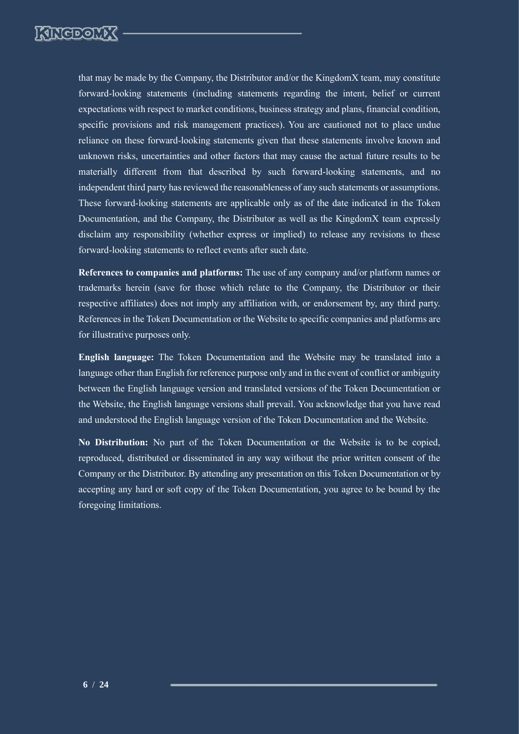

that may be made by the Company, the Distributor and/or the KingdomX team, may constitute forward-looking statements (including statements regarding the intent, belief or current expectations with respect to market conditions, business strategy and plans, financial condition, specific provisions and risk management practices). You are cautioned not to place undue reliance on these forward-looking statements given that these statements involve known and unknown risks, uncertainties and other factors that may cause the actual future results to be materially different from that described by such forward-looking statements, and no independent third party has reviewed the reasonableness of any such statements or assumptions. These forward-looking statements are applicable only as of the date indicated in the Token Documentation, and the Company, the Distributor as well as the KingdomX team expressly disclaim any responsibility (whether express or implied) to release any revisions to these forward-looking statements to reflect events after such date.

**References to companies and platforms:** The use of any company and/or platform names or trademarks herein (save for those which relate to the Company, the Distributor or their respective affiliates) does not imply any affiliation with, or endorsement by, any third party. References in the Token Documentation or the Website to specific companies and platforms are for illustrative purposes only.

**English language:** The Token Documentation and the Website may be translated into a language other than English for reference purpose only and in the event of conflict or ambiguity between the English language version and translated versions of the Token Documentation or the Website, the English language versions shall prevail. You acknowledge that you have read and understood the English language version of the Token Documentation and the Website.

**No Distribution:** No part of the Token Documentation or the Website is to be copied, reproduced, distributed or disseminated in any way without the prior written consent of the Company or the Distributor. By attending any presentation on this Token Documentation or by accepting any hard or soft copy of the Token Documentation, you agree to be bound by the foregoing limitations.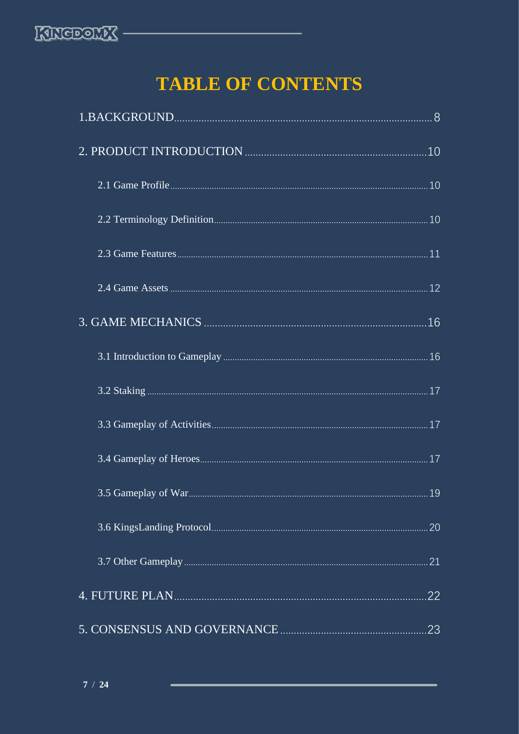

# **TABLE OF CONTENTS**

| .10 |
|-----|
|     |
|     |
|     |
|     |
|     |
|     |
|     |
|     |
|     |
|     |
| 20  |
| 21  |
| 22  |
| 23  |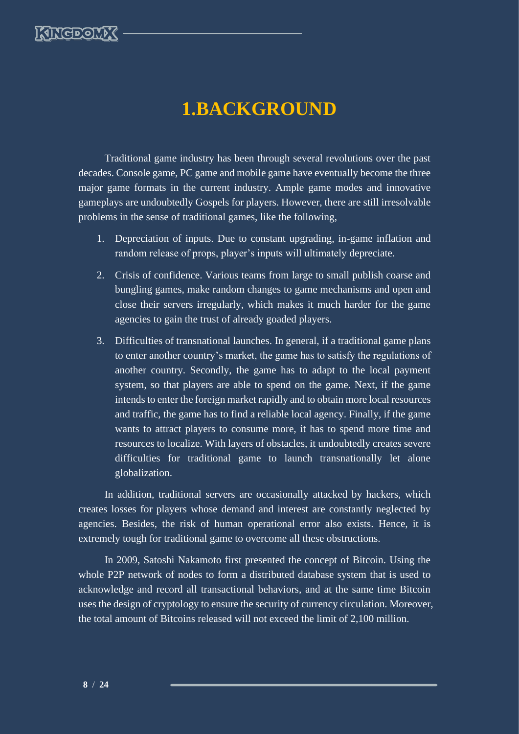

# **1.BACKGROUND**

<span id="page-8-0"></span>Traditional game industry has been through several revolutions over the past decades. Console game, PC game and mobile game have eventually become the three major game formats in the current industry. Ample game modes and innovative gameplays are undoubtedly Gospels for players. However, there are still irresolvable problems in the sense of traditional games, like the following,

- 1. Depreciation of inputs. Due to constant upgrading, in-game inflation and random release of props, player's inputs will ultimately depreciate.
- 2. Crisis of confidence. Various teams from large to small publish coarse and bungling games, make random changes to game mechanisms and open and close their servers irregularly, which makes it much harder for the game agencies to gain the trust of already goaded players.
- 3. Difficulties of transnational launches. In general, if a traditional game plans to enter another country's market, the game has to satisfy the regulations of another country. Secondly, the game has to adapt to the local payment system, so that players are able to spend on the game. Next, if the game intends to enter the foreign market rapidly and to obtain more local resources and traffic, the game has to find a reliable local agency. Finally, if the game wants to attract players to consume more, it has to spend more time and resources to localize. With layers of obstacles, it undoubtedly creates severe difficulties for traditional game to launch transnationally let alone globalization.

In addition, traditional servers are occasionally attacked by hackers, which creates losses for players whose demand and interest are constantly neglected by agencies. Besides, the risk of human operational error also exists. Hence, it is extremely tough for traditional game to overcome all these obstructions.

In 2009, Satoshi Nakamoto first presented the concept of Bitcoin. Using the whole P2P network of nodes to form a distributed database system that is used to acknowledge and record all transactional behaviors, and at the same time Bitcoin uses the design of cryptology to ensure the security of currency circulation. Moreover, the total amount of Bitcoins released will not exceed the limit of 2,100 million.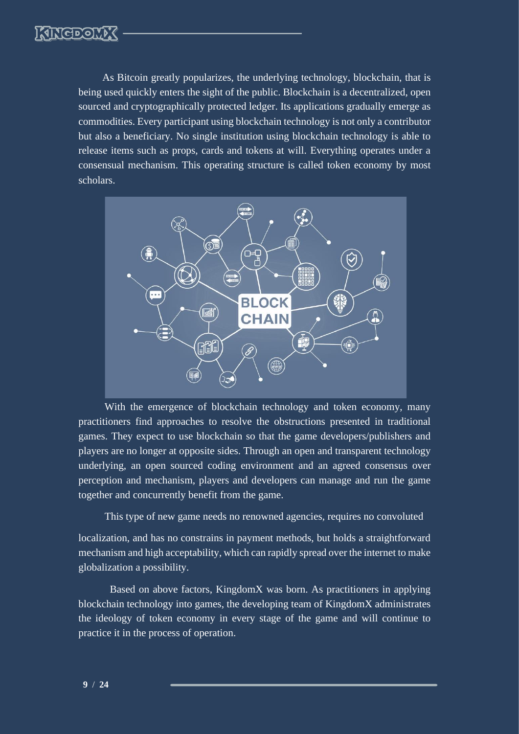As Bitcoin greatly popularizes, the underlying technology, blockchain, that is being used quickly enters the sight of the public. Blockchain is a decentralized, open sourced and cryptographically protected ledger. Its applications gradually emerge as commodities. Every participant using blockchain technology is not only a contributor but also a beneficiary. No single institution using blockchain technology is able to release items such as props, cards and tokens at will. Everything operates under a consensual mechanism. This operating structure is called token economy by most scholars.



With the emergence of blockchain technology and token economy, many practitioners find approaches to resolve the obstructions presented in traditional games. They expect to use blockchain so that the game developers/publishers and players are no longer at opposite sides. Through an open and transparent technology underlying, an open sourced coding environment and an agreed consensus over perception and mechanism, players and developers can manage and run the game together and concurrently benefit from the game.

This type of new game needs no renowned agencies, requires no convoluted

localization, and has no constrains in payment methods, but holds a straightforward mechanism and high acceptability, which can rapidly spread over the internet to make globalization a possibility.

Based on above factors, KingdomX was born. As practitioners in applying blockchain technology into games, the developing team of KingdomX administrates the ideology of token economy in every stage of the game and will continue to practice it in the process of operation.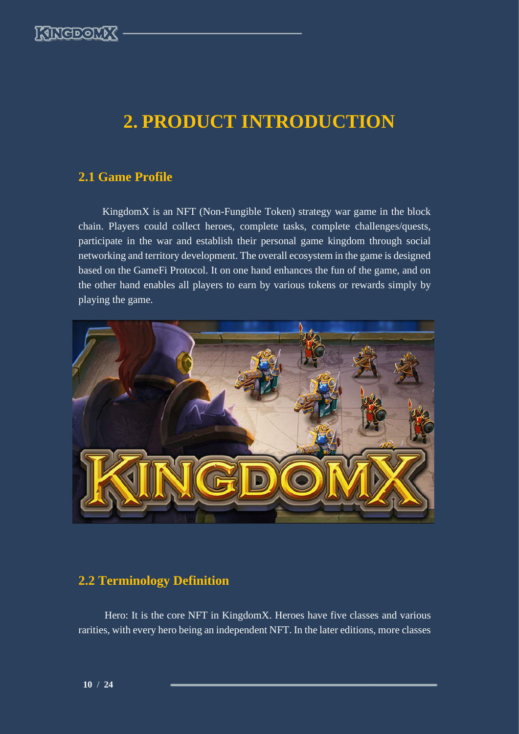

# <span id="page-10-0"></span>**2. PRODUCT INTRODUCTION**

### <span id="page-10-1"></span>**2.1 Game Profile**

KingdomX is an NFT (Non-Fungible Token) strategy war game in the block chain. Players could collect heroes, complete tasks, complete challenges/quests, participate in the war and establish their personal game kingdom through social networking and territory development. The overall ecosystem in the game is designed based on the GameFi Protocol. It on one hand enhances the fun of the game, and on the other hand enables all players to earn by various tokens or rewards simply by playing the game.



### <span id="page-10-2"></span>**2.2 Terminology Definition**

Hero: It is the core NFT in KingdomX. Heroes have five classes and various rarities, with every hero being an independent NFT. In the later editions, more classes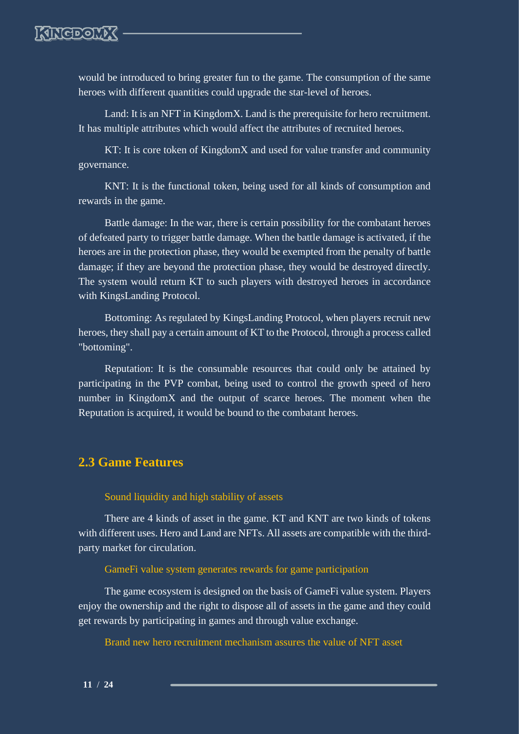

would be introduced to bring greater fun to the game. The consumption of the same heroes with different quantities could upgrade the star-level of heroes.

Land: It is an NFT in KingdomX. Land is the prerequisite for hero recruitment. It has multiple attributes which would affect the attributes of recruited heroes.

KT: It is core token of KingdomX and used for value transfer and community governance.

KNT: It is the functional token, being used for all kinds of consumption and rewards in the game.

Battle damage: In the war, there is certain possibility for the combatant heroes of defeated party to trigger battle damage. When the battle damage is activated, if the heroes are in the protection phase, they would be exempted from the penalty of battle damage; if they are beyond the protection phase, they would be destroyed directly. The system would return KT to such players with destroyed heroes in accordance with KingsLanding Protocol.

Bottoming: As regulated by KingsLanding Protocol, when players recruit new heroes, they shall pay a certain amount of KT to the Protocol, through a process called "bottoming".

Reputation: It is the consumable resources that could only be attained by participating in the PVP combat, being used to control the growth speed of hero number in KingdomX and the output of scarce heroes. The moment when the Reputation is acquired, it would be bound to the combatant heroes.

### <span id="page-11-0"></span>**2.3 Game Features**

#### Sound liquidity and high stability of assets

There are 4 kinds of asset in the game. KT and KNT are two kinds of tokens with different uses. Hero and Land are NFTs. All assets are compatible with the thirdparty market for circulation.

#### GameFi value system generates rewards for game participation

The game ecosystem is designed on the basis of GameFi value system. Players enjoy the ownership and the right to dispose all of assets in the game and they could get rewards by participating in games and through value exchange.

Brand new hero recruitment mechanism assures the value of NFT asset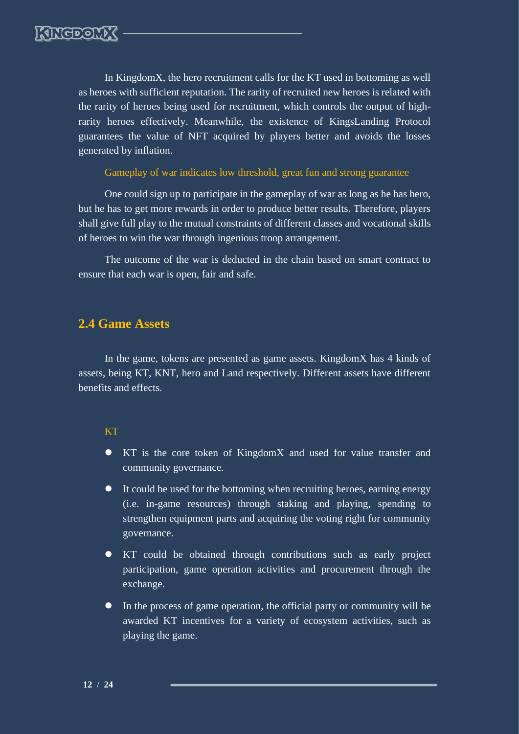In KingdomX, the hero recruitment calls for the KT used in bottoming as well as heroes with sufficient reputation. The rarity of recruited new heroes is related with the rarity of heroes being used for recruitment, which controls the output of highrarity heroes effectively. Meanwhile, the existence of KingsLanding Protocol guarantees the value of NFT acquired by players better and avoids the losses generated by inflation.

Gameplay of war indicates low threshold, great fun and strong guarantee

One could sign up to participate in the gameplay of war as long as he has hero, but he has to get more rewards in order to produce better results. Therefore, players shall give full play to the mutual constraints of different classes and vocational skills of heroes to win the war through ingenious troop arrangement.

The outcome of the war is deducted in the chain based on smart contract to ensure that each war is open, fair and safe.

### <span id="page-12-0"></span>**2.4 Game Assets**

In the game, tokens are presented as game assets. KingdomX has 4 kinds of assets, being KT, KNT, hero and Land respectively. Different assets have different benefits and effects.

### KT

- ⚫ KT is the core token of KingdomX and used for value transfer and community governance.
- ⚫ It could be used for the bottoming when recruiting heroes, earning energy (i.e. in-game resources) through staking and playing, spending to strengthen equipment parts and acquiring the voting right for community governance.
- ⚫ KT could be obtained through contributions such as early project participation, game operation activities and procurement through the exchange.
- ⚫ In the process of game operation, the official party or community will be awarded KT incentives for a variety of ecosystem activities, such as playing the game.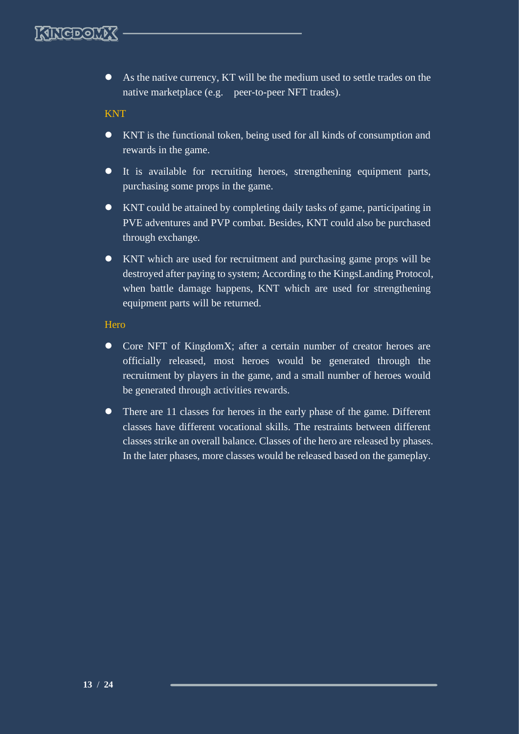⚫ As the native currency, KT will be the medium used to settle trades on the native marketplace (e.g. peer-to-peer NFT trades).

KNT

- ⚫ KNT is the functional token, being used for all kinds of consumption and rewards in the game.
- ⚫ It is available for recruiting heroes, strengthening equipment parts, purchasing some props in the game.
- ⚫ KNT could be attained by completing daily tasks of game, participating in PVE adventures and PVP combat. Besides, KNT could also be purchased through exchange.
- ⚫ KNT which are used for recruitment and purchasing game props will be destroyed after paying to system; According to the KingsLanding Protocol, when battle damage happens, KNT which are used for strengthening equipment parts will be returned.

### **Hero**

- Core NFT of KingdomX; after a certain number of creator heroes are officially released, most heroes would be generated through the recruitment by players in the game, and a small number of heroes would be generated through activities rewards.
- There are 11 classes for heroes in the early phase of the game. Different classes have different vocational skills. The restraints between different classes strike an overall balance. Classes of the hero are released by phases. In the later phases, more classes would be released based on the gameplay.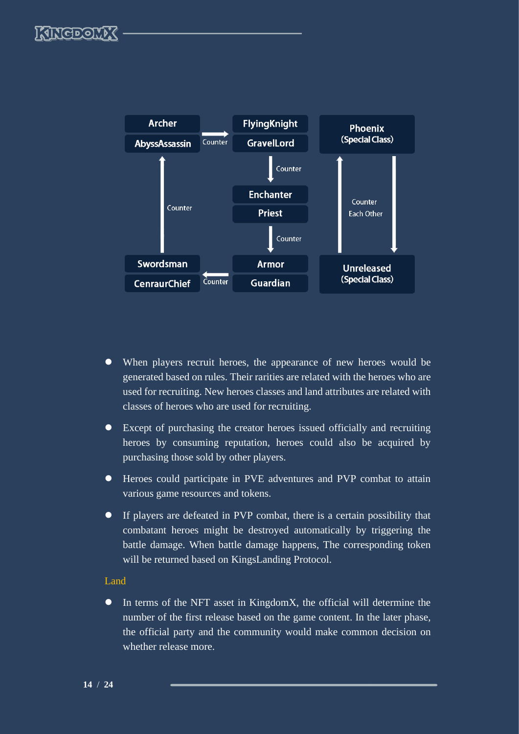

- ⚫ When players recruit heroes, the appearance of new heroes would be generated based on rules. Their rarities are related with the heroes who are used for recruiting. New heroes classes and land attributes are related with classes of heroes who are used for recruiting.
- ⚫ Except of purchasing the creator heroes issued officially and recruiting heroes by consuming reputation, heroes could also be acquired by purchasing those sold by other players.
- ⚫ Heroes could participate in PVE adventures and PVP combat to attain various game resources and tokens.
- ⚫ If players are defeated in PVP combat, there is a certain possibility that combatant heroes might be destroyed automatically by triggering the battle damage. When battle damage happens, The corresponding token will be returned based on KingsLanding Protocol.

#### Land

⚫ In terms of the NFT asset in KingdomX, the official will determine the number of the first release based on the game content. In the later phase, the official party and the community would make common decision on whether release more.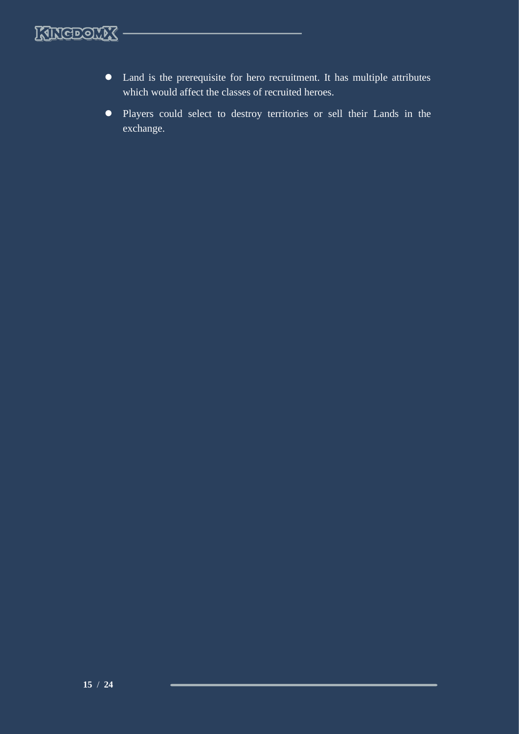

- ⚫ Land is the prerequisite for hero recruitment. It has multiple attributes which would affect the classes of recruited heroes.
- ⚫ Players could select to destroy territories or sell their Lands in the exchange.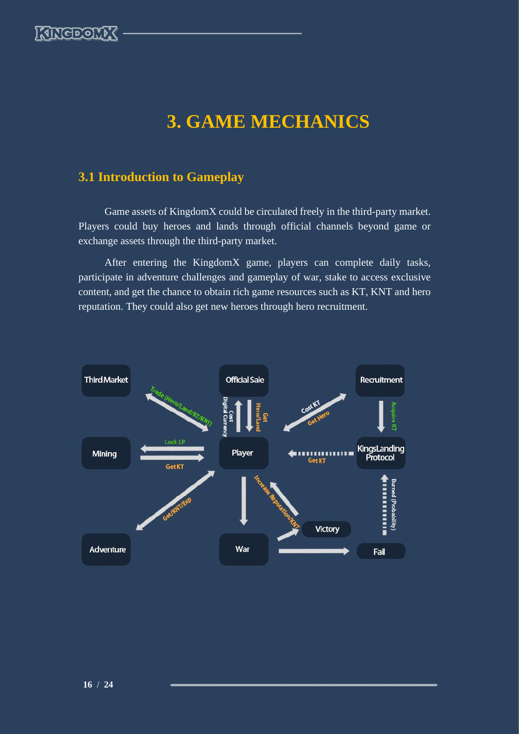

# **3. GAME MECHANICS**

# <span id="page-16-1"></span><span id="page-16-0"></span>**3.1 Introduction to Gameplay**

Game assets of KingdomX could be circulated freely in the third-party market. Players could buy heroes and lands through official channels beyond game or exchange assets through the third-party market.

After entering the KingdomX game, players can complete daily tasks, participate in adventure challenges and gameplay of war, stake to access exclusive content, and get the chance to obtain rich game resources such as KT, KNT and hero reputation. They could also get new heroes through hero recruitment.

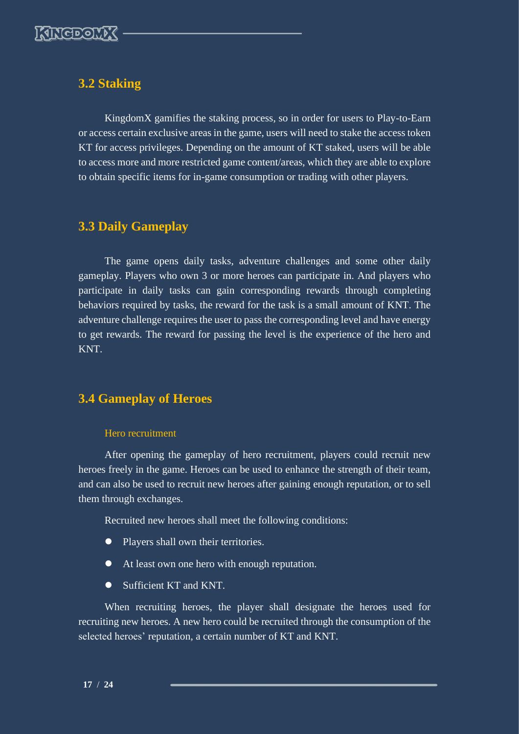

### <span id="page-17-0"></span>**3.2 Staking**

KingdomX gamifies the staking process, so in order for users to Play-to-Earn or access certain exclusive areas in the game, users will need to stake the access token KT for access privileges. Depending on the amount of KT staked, users will be able to access more and more restricted game content/areas, which they are able to explore to obtain specific items for in-game consumption or trading with other players.

# <span id="page-17-1"></span>**3.3 Daily Gameplay**

The game opens daily tasks, adventure challenges and some other daily gameplay. Players who own 3 or more heroes can participate in. And players who participate in daily tasks can gain corresponding rewards through completing behaviors required by tasks, the reward for the task is a small amount of KNT. The adventure challenge requires the user to pass the corresponding level and have energy to get rewards. The reward for passing the level is the experience of the hero and KNT.

### <span id="page-17-2"></span>**3.4 Gameplay of Heroes**

#### Hero recruitment

After opening the gameplay of hero recruitment, players could recruit new heroes freely in the game. Heroes can be used to enhance the strength of their team, and can also be used to recruit new heroes after gaining enough reputation, or to sell them through exchanges.

Recruited new heroes shall meet the following conditions:

- Players shall own their territories.
- At least own one hero with enough reputation.
- Sufficient KT and KNT.

When recruiting heroes, the player shall designate the heroes used for recruiting new heroes. A new hero could be recruited through the consumption of the selected heroes' reputation, a certain number of KT and KNT.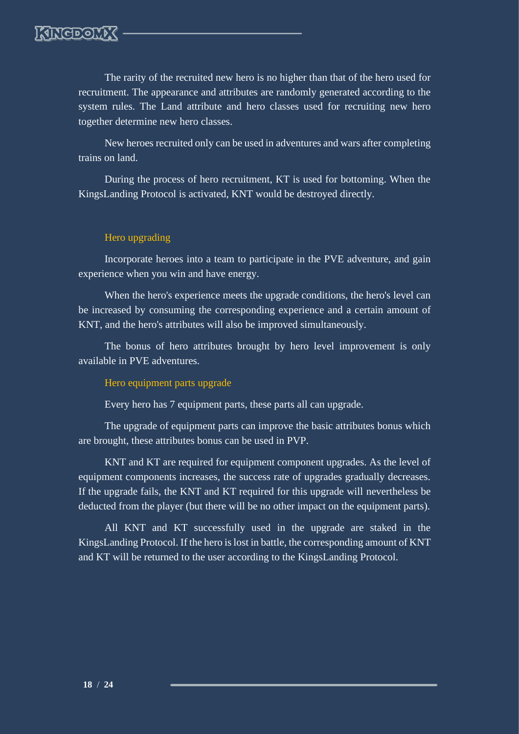The rarity of the recruited new hero is no higher than that of the hero used for recruitment. The appearance and attributes are randomly generated according to the system rules. The Land attribute and hero classes used for recruiting new hero together determine new hero classes.

New heroes recruited only can be used in adventures and wars after completing trains on land.

During the process of hero recruitment, KT is used for bottoming. When the KingsLanding Protocol is activated, KNT would be destroyed directly.

### Hero upgrading

Incorporate heroes into a team to participate in the PVE adventure, and gain experience when you win and have energy.

When the hero's experience meets the upgrade conditions, the hero's level can be increased by consuming the corresponding experience and a certain amount of KNT, and the hero's attributes will also be improved simultaneously.

The bonus of hero attributes brought by hero level improvement is only available in PVE adventures.

#### Hero equipment parts upgrade

Every hero has 7 equipment parts, these parts all can upgrade.

The upgrade of equipment parts can improve the basic attributes bonus which are brought, these attributes bonus can be used in PVP.

KNT and KT are required for equipment component upgrades. As the level of equipment components increases, the success rate of upgrades gradually decreases. If the upgrade fails, the KNT and KT required for this upgrade will nevertheless be deducted from the player (but there will be no other impact on the equipment parts).

All KNT and KT successfully used in the upgrade are staked in the KingsLanding Protocol. If the hero is lost in battle, the corresponding amount of KNT and KT will be returned to the user according to the KingsLanding Protocol.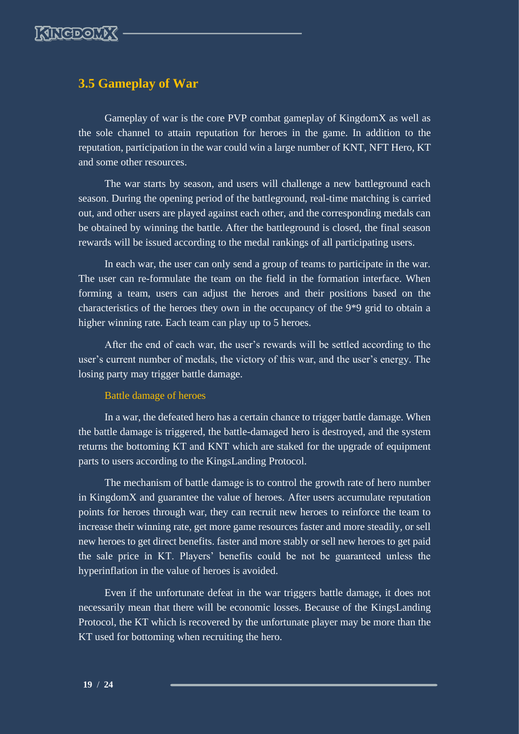

### <span id="page-19-0"></span>**3.5 Gameplay of War**

Gameplay of war is the core PVP combat gameplay of KingdomX as well as the sole channel to attain reputation for heroes in the game. In addition to the reputation, participation in the war could win a large number of KNT, NFT Hero, KT and some other resources.

The war starts by season, and users will challenge a new battleground each season. During the opening period of the battleground, real-time matching is carried out, and other users are played against each other, and the corresponding medals can be obtained by winning the battle. After the battleground is closed, the final season rewards will be issued according to the medal rankings of all participating users.

In each war, the user can only send a group of teams to participate in the war. The user can re-formulate the team on the field in the formation interface. When forming a team, users can adjust the heroes and their positions based on the characteristics of the heroes they own in the occupancy of the 9\*9 grid to obtain a higher winning rate. Each team can play up to 5 heroes.

After the end of each war, the user's rewards will be settled according to the user's current number of medals, the victory of this war, and the user's energy. The losing party may trigger battle damage.

### Battle damage of heroes

In a war, the defeated hero has a certain chance to trigger battle damage. When the battle damage is triggered, the battle-damaged hero is destroyed, and the system returns the bottoming KT and KNT which are staked for the upgrade of equipment parts to users according to the KingsLanding Protocol.

The mechanism of battle damage is to control the growth rate of hero number in KingdomX and guarantee the value of heroes. After users accumulate reputation points for heroes through war, they can recruit new heroes to reinforce the team to increase their winning rate, get more game resources faster and more steadily, or sell new heroes to get direct benefits. faster and more stably or sell new heroes to get paid the sale price in KT. Players' benefits could be not be guaranteed unless the hyperinflation in the value of heroes is avoided.

Even if the unfortunate defeat in the war triggers battle damage, it does not necessarily mean that there will be economic losses. Because of the KingsLanding Protocol, the KT which is recovered by the unfortunate player may be more than the KT used for bottoming when recruiting the hero.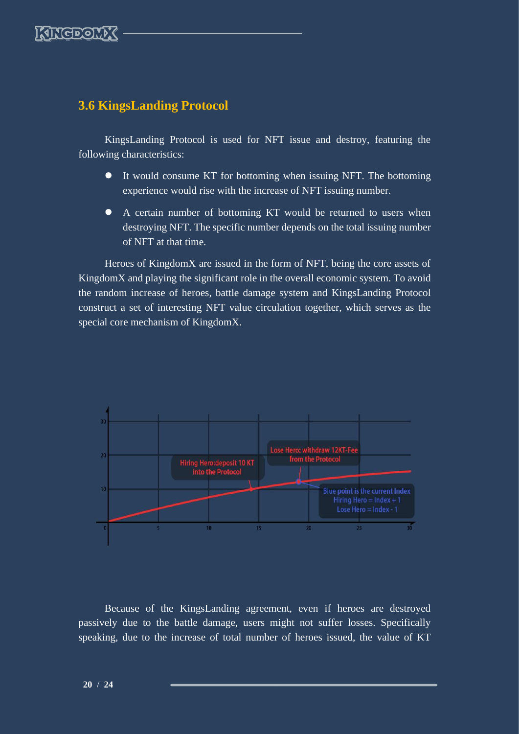

### <span id="page-20-0"></span>**3.6 KingsLanding Protocol**

KingsLanding Protocol is used for NFT issue and destroy, featuring the following characteristics:

- ⚫ It would consume KT for bottoming when issuing NFT. The bottoming experience would rise with the increase of NFT issuing number.
- ⚫ A certain number of bottoming KT would be returned to users when destroying NFT. The specific number depends on the total issuing number of NFT at that time.

Heroes of KingdomX are issued in the form of NFT, being the core assets of KingdomX and playing the significant role in the overall economic system. To avoid the random increase of heroes, battle damage system and KingsLanding Protocol construct a set of interesting NFT value circulation together, which serves as the special core mechanism of KingdomX.



Because of the KingsLanding agreement, even if heroes are destroyed passively due to the battle damage, users might not suffer losses. Specifically speaking, due to the increase of total number of heroes issued, the value of KT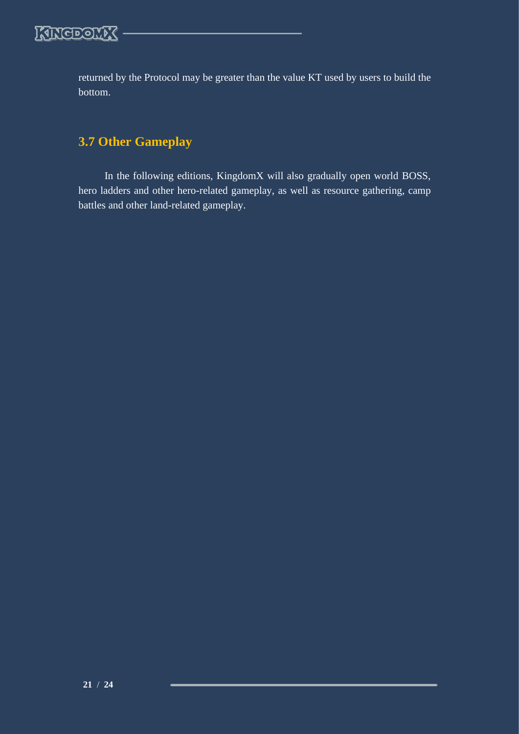

returned by the Protocol may be greater than the value KT used by users to build the bottom.

# <span id="page-21-0"></span>**3.7 Other Gameplay**

In the following editions, KingdomX will also gradually open world BOSS, hero ladders and other hero-related gameplay, as well as resource gathering, camp battles and other land-related gameplay.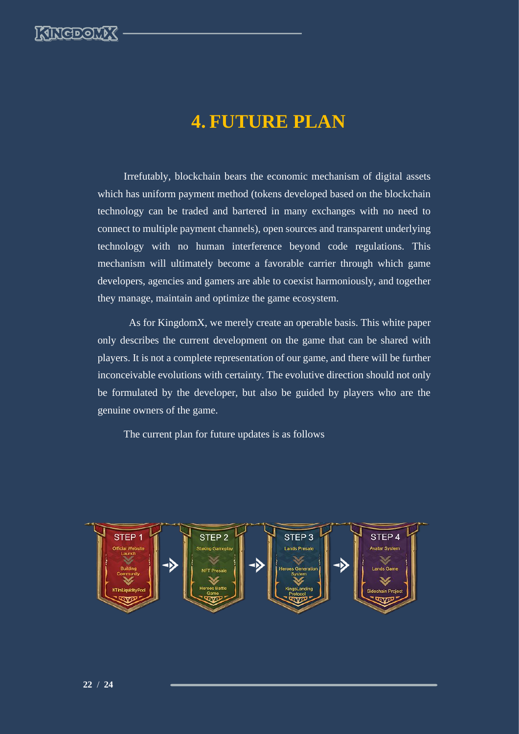

# **4. FUTURE PLAN**

<span id="page-22-0"></span>Irrefutably, blockchain bears the economic mechanism of digital assets which has uniform payment method (tokens developed based on the blockchain technology can be traded and bartered in many exchanges with no need to connect to multiple payment channels), open sources and transparent underlying technology with no human interference beyond code regulations. This mechanism will ultimately become a favorable carrier through which game developers, agencies and gamers are able to coexist harmoniously, and together they manage, maintain and optimize the game ecosystem.

As for KingdomX, we merely create an operable basis. This white paper only describes the current development on the game that can be shared with players. It is not a complete representation of our game, and there will be further inconceivable evolutions with certainty. The evolutive direction should not only be formulated by the developer, but also be guided by players who are the genuine owners of the game.

The current plan for future updates is as follows

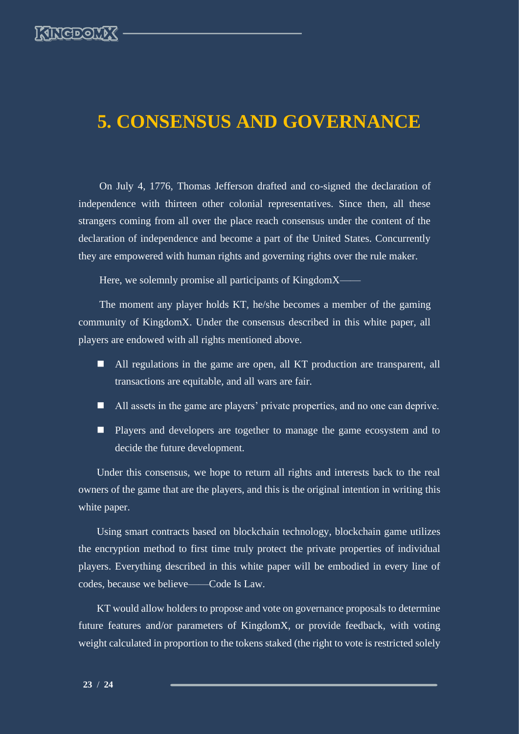# <span id="page-23-0"></span>**5. CONSENSUS AND GOVERNANCE**

On July 4, 1776, Thomas Jefferson drafted and co-signed the declaration of independence with thirteen other colonial representatives. Since then, all these strangers coming from all over the place reach consensus under the content of the declaration of independence and become a part of the United States. Concurrently they are empowered with human rights and governing rights over the rule maker.

Here, we solemnly promise all participants of KingdomX——

The moment any player holds KT, he/she becomes a member of the gaming community of KingdomX. Under the consensus described in this white paper, all players are endowed with all rights mentioned above.

- All regulations in the game are open, all KT production are transparent, all transactions are equitable, and all wars are fair.
- All assets in the game are players' private properties, and no one can deprive.
- Players and developers are together to manage the game ecosystem and to decide the future development.

Under this consensus, we hope to return all rights and interests back to the real owners of the game that are the players, and this is the original intention in writing this white paper.

Using smart contracts based on blockchain technology, blockchain game utilizes the encryption method to first time truly protect the private properties of individual players. Everything described in this white paper will be embodied in every line of codes, because we believe——Code Is Law.

KT would allow holders to propose and vote on governance proposals to determine future features and/or parameters of KingdomX, or provide feedback, with voting weight calculated in proportion to the tokens staked (the right to vote is restricted solely